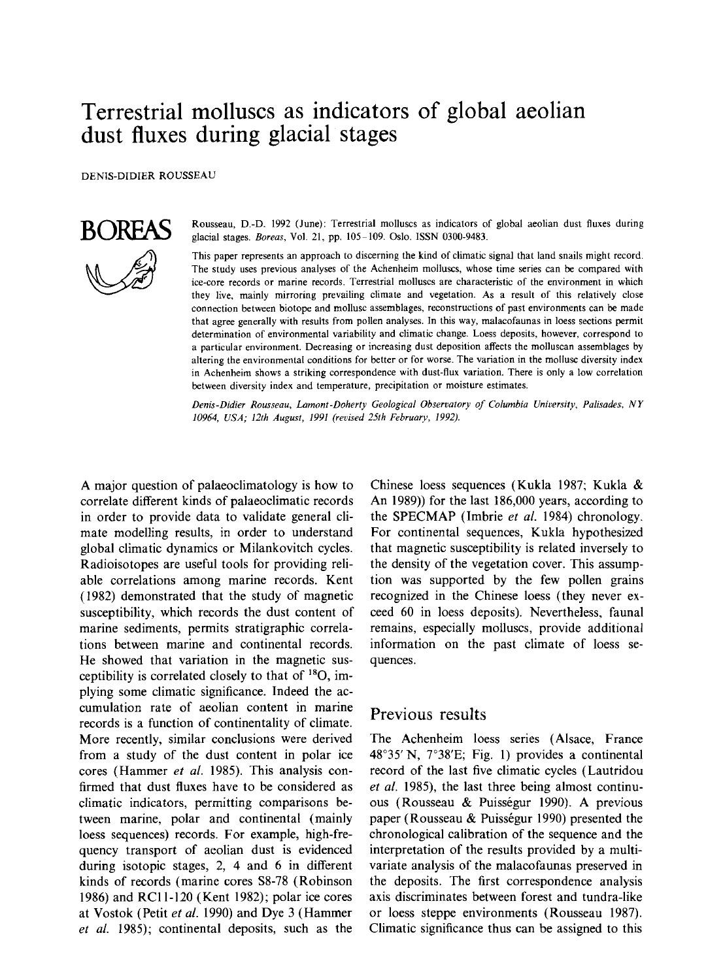# Terrestrial molluscs as indicators of global aeolian dust fluxes during glacial stages

DENIS-DIDIER ROUSSEAU



BOREAS Rousseau, D.-D. 1992 (June): Terrestrial molluscs as indicators of global aeolian dust fluxes during<br>
Rousseau, Borges Rousseau, Vol. 21, pp. 105–109, Oslo, ISSN 0300-9483 glacial stages. *Boreas,* Vol. 21, pp. 105-109. Oslo. ISSN 0300-9483.

> This paper represents an approach to discerning the kind of climatic signal that land snails might record. The study **uses** previous analyses of the Achenheim molluscs, whose time series can be compared with ice-core records or marine records. Terrestrial molluscs are characteristic of the environment in which they live, mainly mirroring prevailing climate and vegetation. **As** a result of this relatively close connection between biotope and mollusc assemblages, reconstructions of past environments can be made that agree generally with results from pollen analyses. In this way, malacofaunas in **loess** sections permit determination of environmental variability and climatic change. **Loess** deposits, however, correspond to a particular environment. Decreasing or increasing dust deposition affects the molluscan assemblages by altering the environmental conditions for better or for worse. The variation in the mollusc diversity index in Achenheim shows a striking correspondence with dust-flux variation. There is only a low correlation between diversity index and temperature, precipitation or moisture estimates.

> *Denis-Didier Rousseau, Lamont-Doherty Geological Observatory of Columbia University, Palisades, N Y 10964, USA; 12th August, 1991 (revised 25th February, 1992).*

A major question of palaeoclimatology is how to correlate different kinds of palaeoclimatic records in order to provide data to validate general climate modelling results, in order to understand global climatic dynamics or Milankovitch cycles. Radioisotopes are useful tools for providing reliable correlations among marine records. Kent (1982) demonstrated that the study of magnetic susceptibility, which records the dust content of marine sediments, permits stratigraphic correlations between marine and continental records. He showed that variation in the magnetic susceptibility is correlated closely to that of *"0,* implying some climatic significance. Indeed the accumulation rate of aeolian content in marine records is a function of continentality of climate. More recently, similar conclusions were derived from a study of the dust content in polar ice cores (Hammer *et al.* 1985). This analysis confirmed that dust fluxes have to be considered as climatic indicators, permitting comparisons between marine, polar and continental (mainly loess sequences) records. For example, high-frequency transport of aeolian dust is evidenced during isotopic stages, **2, 4** and 6 in different kinds of records (marine cores S8-78 (Robinson 1986) and RCl1-I20 (Kent 1982); polar ice cores at Vostok (Petit *et al.* 1990) and Dye 3 (Hammer *et al.* 1985); continental deposits, such as the

Chinese loess sequences (Kukla 1987; Kukla & An 1989)) for the last 186,000 years, according to the SPECMAP (Imbrie *et al.* 1984) chronology. For continental sequences, Kukla hypothesized that magnetic susceptibility is related inversely to the density of the vegetation cover. This assumption was supported by the few pollen grains recognized in the Chinese loess (they never exceed 60 in loess deposits). Nevertheless, faunal remains, especially molluscs, provide additional information on the past climate of loess sequences.

#### Previous results

The Achenheim loess series (Alsace, France  $48^{\circ}35'$  N,  $7^{\circ}38'E$ ; Fig. 1) provides a continental record of the last five climatic cycles (Lautridou *et al.* 1985), the last three being almost continuous (Rousseau & Puisségur 1990). A previous paper (Rousseau & Puisségur 1990) presented the chronological calibration of the sequence and the interpretation of the results provided by a multivariate analysis of the malacofaunas preserved in the deposits. The first correspondence analysis axis discriminates between forest and tundra-like or loess steppe environments (Rousseau 1987). Climatic significance thus can be assigned to this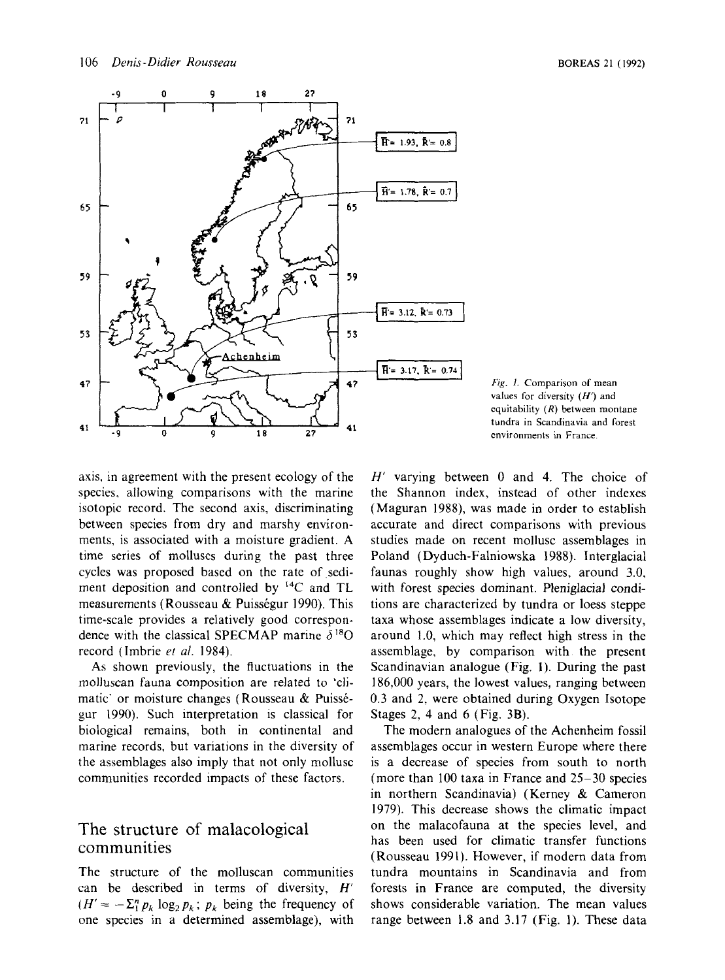

 $Fig. 1. Comparison of mean$ values for diversity *(H')* and equitability *(R)* between montane tundra in Scandinavia and **forest**  environments in France.

axis, in agreement with the present ecology of the species, allowing comparisons with the marine isotopic record. The second axis, discriminating between species from dry and marshy environments, is associated with a moisture gradient. A time series of molluscs during the past three cycles was proposed based on the rate of sediment deposition and controlled by  $^{14}C$  and TL measurements (Rousseau & Puisségur 1990). This time-scale provides a relatively good correspondence with the classical SPECMAP marine  $\delta^{18}O$ record (Imbrie *et al.* 1984).

As shown previously, the fluctuations in the molluscan fauna composition are related to 'climatic' or moisture changes (Rousseau & Puissegur 1990). Such interpretation is classical for biological remains, both in continental and marine records, but variations in the diversity of the assemblages also imply that not only mollusc communities recorded impacts of these factors.

## The structure of malacological communities

The structure of the molluscan communities can be described in terms of diversity, *H'*   $(H' = -\sum_{i=1}^{n} p_k \log_2 p_k$ ;  $p_k$  being the frequency of one species in a determined assemblage), with

*H'* varying between 0 and **4.** The choice of the Shannon index, instead of other indexes (Maguran 1988), was made in order to establish accurate and direct comparisons with previous studies made on recent mollusc assemblages in Poland (Dyduch-Falniowska 1988). Interglacial faunas roughly show high values, around 3.0, with forest species dominant. Pleniglacial conditions are characterized by tundra or loess steppe taxa whose assemblages indicate a low diversity, around 1.0, which may reflect high stress in the assemblage, by comparison with the present Scandinavian analogue (Fig. **I).** During the past 186,000 years, the lowest values, ranging between 0.3 and *2,* were obtained during Oxygen Isotope Stages 2, **4** and 6 (Fig. **3B).** 

The modern analogues of the Achenheim fossil assemblages occur in western Europe where there is a decrease of species from south to north (more than 100 taxa in France and 25-30 species in northern Scandinavia) (Kerney & Cameron 1979). This decrease shows the climatic impact on the malacofauna at the species level, and has been used for climatic transfer functions (Rousseau 1991). However, if modern data from tundra mountains in Scandinavia and from forests in France are computed, the diversity shows considerable variation. The mean values range between 1.8 and 3.17 (Fig. 1). These data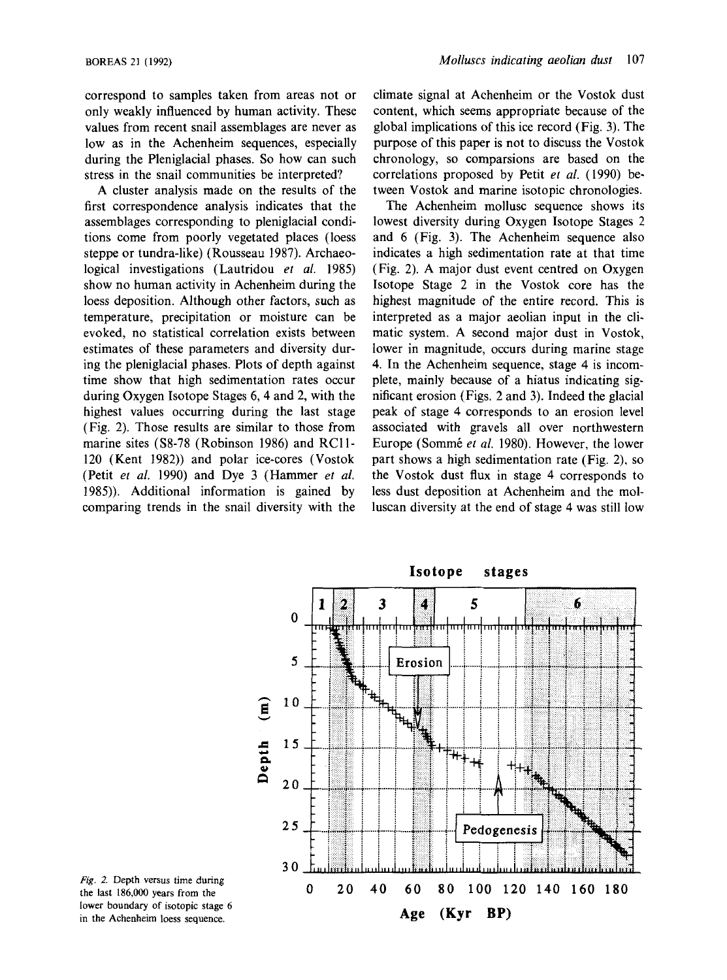correspond to samples taken from areas not or only weakly influenced by human activity. These values from recent snail assemblages are never as low as in the Achenheim sequences, especially during the Pleniglacial phases. So how can such stress in the snail communities be interpreted?

A cluster analysis made on the results of the first correspondence analysis indicates that the assemblages corresponding to pleniglacial conditions come from poorly vegetated places (loess steppe or tundra-like) (Rousseau 1987). Archaeological investigations (Lautridou *et al.* 1985) show no human activity in Achenheim during the loess deposition. Although other factors, such as temperature, precipitation or moisture can be evoked, no statistical correlation exists between estimates of these parameters and diversity during the pleniglacial phases. Plots of depth against time show that high sedimentation rates occur during Oxygen Isotope Stages 6,4 and 2, with the highest values occurring during the last stage (Fig. 2). Those results are similar to those from marine sites (S8-78 (Robinson 1986) and RCl1- 120 (Kent 1982)) and polar ice-cores (Vostok (Petit *et al.* 1990) and Dye 3 (Hammer *et al.*  1985)). Additional information is gained by comparing trends in the snail diversity with the

climate signal at Achenheim or the Vostok dust content, which seems appropriate because of the global implications of this ice record (Fig. 3). The purpose of this paper is not to discuss the Vostok chronology, so cornparsions are based on the correlations proposed by Petit *et ai.* (1990) between Vostok and marine isotopic chronologies.

The Achenheim mollusc sequence shows its lowest diversity during Oxygen Isotope Stages *2*  and 6 (Fig. 3). The Achenheim sequence also indicates a high sedimentation rate at that time (Fig. *2).* A major dust event centred on Oxygen Isotope Stage 2 in the Vostok core has the highest magnitude of the entire record. This **is**  interpreted as a major aeolian input in the climatic system. A second major dust in Vostok, lower in magnitude, occurs during marine stage 4. In the Achenheim sequence, stage 4 is incomplete, mainly because of a hiatus indicating significant erosion (Figs. 2 and 3). Indeed the glacial peak of stage 4 corresponds to an erosion level associated with gravels all over northwestern Europe (Sommé et al. 1980). However, the lower part shows a high sedimentation rate (Fig. 2), so the Vostok dust flux in stage 4 corresponds to less dust deposition at Achenheim and the molluscan diversity at the end of stage 4 was still low



*Fig. 2.* Depth versus time **during**  the last **186,000** years from the lower boundary of isotopic stage 6 in the Achenheim loess sequence.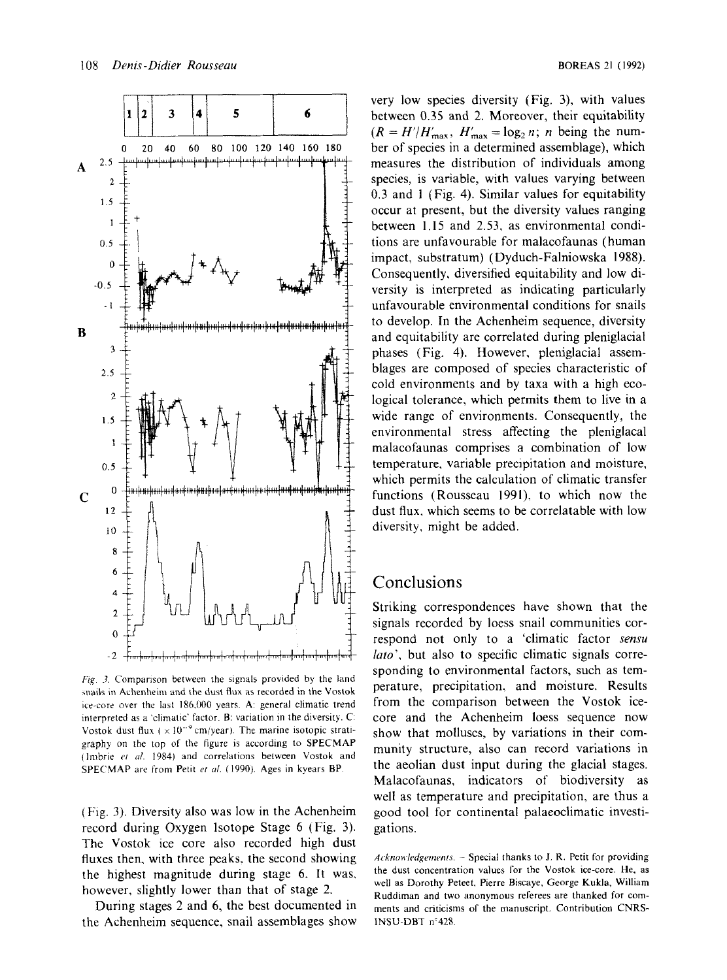

-2

*Fig 3.* Comparison between the signals provided by the land **~ivaiin** in Achenheini and the dust flux as recorded in the **Vostok**  ice-core over the last 186.000 years. A: general climatic trend interpreted as a 'climatic' factor. B: variation in the diversity. C Vostok dust flux ( $\times 10^{-9}$  cm/year). The marine isotopic stratigraphy on the top of the figure *is* according to SPECMAP (Imbrie et al. 1984) and correlations between Vostok and **SPECMAP** are from Petit *el a/.* ( 1990). Ages in kyears BP

(Fig. 3). Diversity also was low in the Achenheim record during Oxygen Isotope Stage 6 (Fig. 3). The Vostok ice core also recorded high dust fluxes then. with three peaks. the second showing the highest magnitude during stage 6. It was. however. slightly lower than that of stage *2.* 

During stages *2* and 6, the best documented in the Achenheim sequence, snail assemblages show very low species diversity (Fig. **3),** with values between *0.35* and 2. Moreover, their equitability  $(R = H'/H'_{\text{max}}, H'_{\text{max}} = \log_2 n; n$  being the number of species in a determined assemblage), which measures the distribution of individuals among species, is variable, with values varying between 0.3 and **1** (Fig. 4). Similar values for equitability occur at present, but the diversity values ranging between 1.15 and *2.53,* as environmental conditions are unfavourable for malacofaunas (human impact, substratum) ( Dyduch-Falniowska 1988). Consequently. diversified equitability and low diversity is interpreted as indicating particularly unfavourable environmental conditions for snails to develop. In the Achenheim sequence, diversity and equitability are correlated during pleniglacial phases (Fig. 4). However, pleniglacial assemblages are composed of species characteristic of cold environments and by taxa with a high ecological tolerance, which permits them to live in a wide range of environments. Consequently, the environmental stress affecting the pleniglacal malacofaunas comprises a combination of low temperature. variable precipitation and moisture, which permits the calculation of climatic transfer functions (Rousseau 1991), to which now the dust flux, which seems to be correlatable with low diversity, might be added.

## Conclusions

Striking correspondences have shown that the signals recorded by loess snail communities correspond not only to a 'climatic factor *sensu lato',* but also to specific climatic signals corresponding to environmental factors, such as temperature, precipitation, and moisture. Results from the comparison between the Vostok icecore and the Achenheim loess sequence now show that molluscs, by variations in their community structure, also can record variations in the aeolian dust input during the glacial stages. Malacofaunas, indicators of biodiversity as well as temperature and precipitation, are thus a good tool for continental palaeoclimatic investigations.

Acknowledgements. - Special thanks to J. R. Petit for providing the dust concentration values for the **Vostok** ice-core. **He, as**  well **as** Dorothy Peteet, Pierre Biscaye, George Kukla, William Ruddiman and two anonymous referees are thanked for comments and criticisms of the manuscript. Contribution CNRS-INSU-DBT n°428.